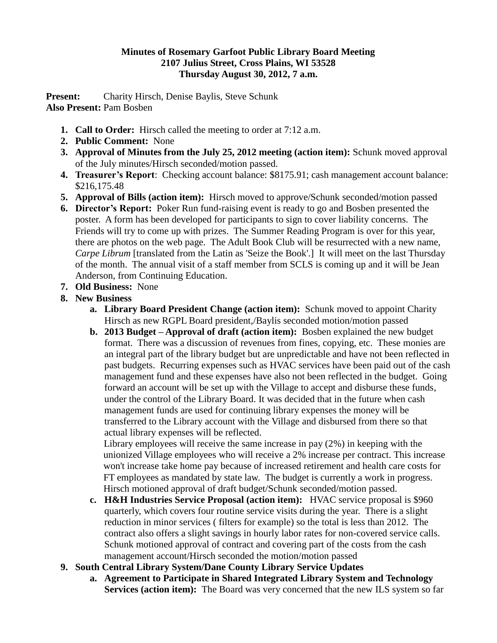## **Minutes of Rosemary Garfoot Public Library Board Meeting 2107 Julius Street, Cross Plains, WI 53528 Thursday August 30, 2012, 7 a.m.**

Present: Charity Hirsch, Denise Baylis, Steve Schunk **Also Present:** Pam Bosben

- **1. Call to Order:** Hirsch called the meeting to order at 7:12 a.m.
- **2. Public Comment:** None
- **3. Approval of Minutes from the July 25, 2012 meeting (action item):** Schunk moved approval of the July minutes/Hirsch seconded/motion passed.
- **4. Treasurer's Report**: Checking account balance: \$8175.91; cash management account balance: \$216,175.48
- **5. Approval of Bills (action item):** Hirsch moved to approve/Schunk seconded/motion passed
- **6. Director's Report:** Poker Run fund-raising event is ready to go and Bosben presented the poster. A form has been developed for participants to sign to cover liability concerns. The Friends will try to come up with prizes. The Summer Reading Program is over for this year, there are photos on the web page. The Adult Book Club will be resurrected with a new name, *Carpe Librum* [translated from the Latin as 'Seize the Book'.] It will meet on the last Thursday of the month. The annual visit of a staff member from SCLS is coming up and it will be Jean Anderson, from Continuing Education.
- **7. Old Business:** None
- **8. New Business**
	- **a. Library Board President Change (action item):** Schunk moved to appoint Charity Hirsch as new RGPL Board president,/Baylis seconded motion/motion passed
	- **b. 2013 Budget – Approval of draft (action item):** Bosben explained the new budget format. There was a discussion of revenues from fines, copying, etc. These monies are an integral part of the library budget but are unpredictable and have not been reflected in past budgets. Recurring expenses such as HVAC services have been paid out of the cash management fund and these expenses have also not been reflected in the budget. Going forward an account will be set up with the Village to accept and disburse these funds, under the control of the Library Board. It was decided that in the future when cash management funds are used for continuing library expenses the money will be transferred to the Library account with the Village and disbursed from there so that actual library expenses will be reflected.

Library employees will receive the same increase in pay (2%) in keeping with the unionized Village employees who will receive a 2% increase per contract. This increase won't increase take home pay because of increased retirement and health care costs for FT employees as mandated by state law. The budget is currently a work in progress. Hirsch motioned approval of draft budget/Schunk seconded/motion passed.

- **c. H&H Industries Service Proposal (action item):** HVAC service proposal is \$960 quarterly, which covers four routine service visits during the year. There is a slight reduction in minor services ( filters for example) so the total is less than 2012. The contract also offers a slight savings in hourly labor rates for non-covered service calls. Schunk motioned approval of contract and covering part of the costs from the cash management account/Hirsch seconded the motion/motion passed
- **9. South Central Library System/Dane County Library Service Updates**
	- **a. Agreement to Participate in Shared Integrated Library System and Technology Services (action item):** The Board was very concerned that the new ILS system so far